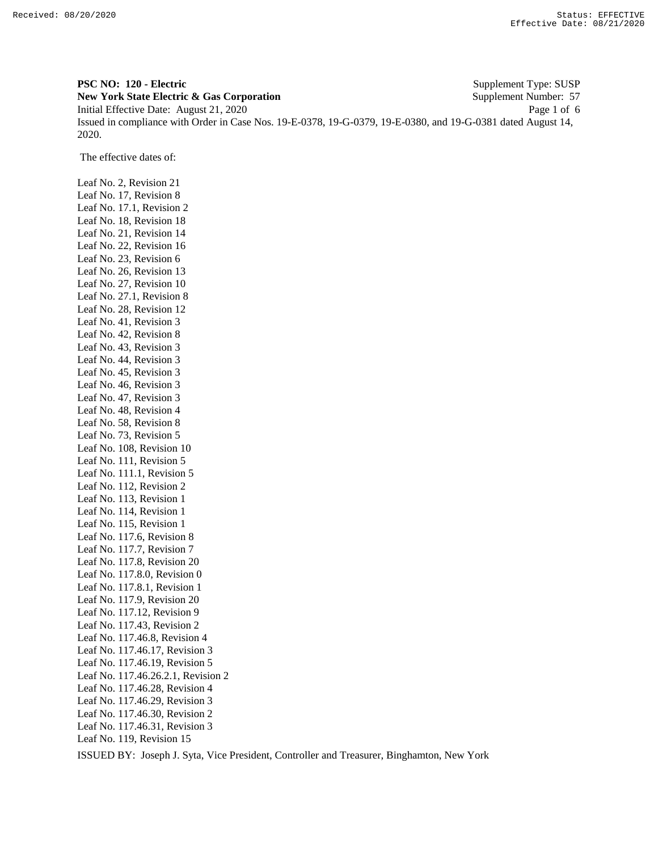**PSC NO: 120 - Electric** Supplement Type: SUSP **New York State Electric & Gas Corporation** Supplement Number: 57 Initial Effective Date: August 21, 2020 Page 1 of 6 Issued in compliance with Order in Case Nos. 19-E-0378, 19-G-0379, 19-E-0380, and 19-G-0381 dated August 14, 2020.

The effective dates of:

Leaf No. 2, Revision 21 Leaf No. 17, Revision 8 Leaf No. 17.1, Revision 2 Leaf No. 18, Revision 18 Leaf No. 21, Revision 14 Leaf No. 22, Revision 16 Leaf No. 23, Revision 6 Leaf No. 26, Revision 13 Leaf No. 27, Revision 10 Leaf No. 27.1, Revision 8 Leaf No. 28, Revision 12 Leaf No. 41, Revision 3 Leaf No. 42, Revision 8 Leaf No. 43, Revision 3 Leaf No. 44, Revision 3 Leaf No. 45, Revision 3 Leaf No. 46, Revision 3 Leaf No. 47, Revision 3 Leaf No. 48, Revision 4 Leaf No. 58, Revision 8 Leaf No. 73, Revision 5 Leaf No. 108, Revision 10 Leaf No. 111, Revision 5 Leaf No. 111.1, Revision 5 Leaf No. 112, Revision 2 Leaf No. 113, Revision 1 Leaf No. 114, Revision 1 Leaf No. 115, Revision 1 Leaf No. 117.6, Revision 8 Leaf No. 117.7, Revision 7 Leaf No. 117.8, Revision 20 Leaf No. 117.8.0, Revision 0 Leaf No. 117.8.1, Revision 1 Leaf No. 117.9, Revision 20 Leaf No. 117.12, Revision 9 Leaf No. 117.43, Revision 2 Leaf No. 117.46.8, Revision 4 Leaf No. 117.46.17, Revision 3 Leaf No. 117.46.19, Revision 5 Leaf No. 117.46.26.2.1, Revision 2 Leaf No. 117.46.28, Revision 4 Leaf No. 117.46.29, Revision 3 Leaf No. 117.46.30, Revision 2 Leaf No. 117.46.31, Revision 3 Leaf No. 119, Revision 15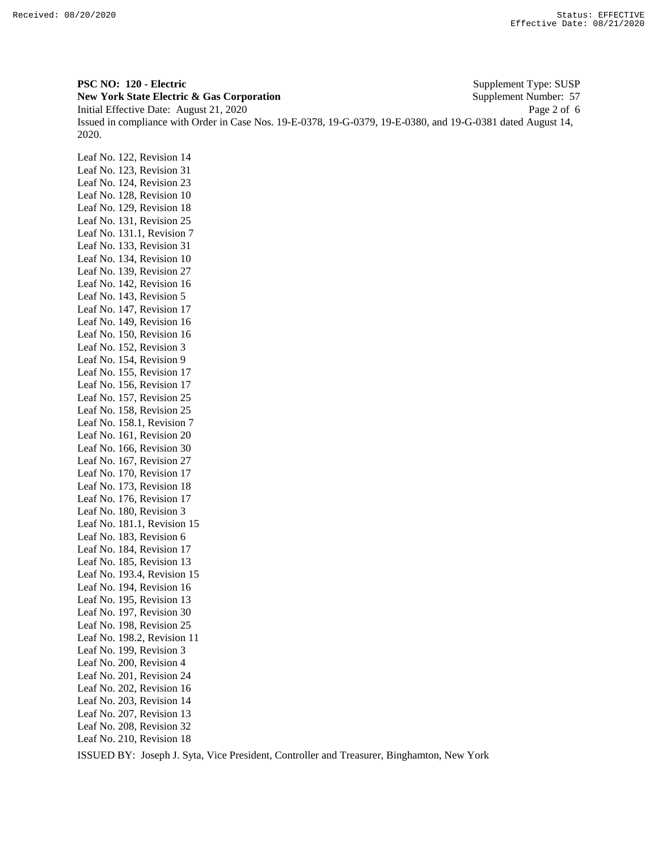**PSC NO: 120 - Electric** Supplement Type: SUSP **New York State Electric & Gas Corporation** Supplement Number: 57 Initial Effective Date: August 21, 2020 Page 2 of 6 Issued in compliance with Order in Case Nos. 19-E-0378, 19-G-0379, 19-E-0380, and 19-G-0381 dated August 14, 2020.

Leaf No. 122, Revision 14 Leaf No. 123, Revision 31 Leaf No. 124, Revision 23 Leaf No. 128, Revision 10 Leaf No. 129, Revision 18 Leaf No. 131, Revision 25 Leaf No. 131.1, Revision 7 Leaf No. 133, Revision 31 Leaf No. 134, Revision 10 Leaf No. 139, Revision 27 Leaf No. 142, Revision 16 Leaf No. 143, Revision 5 Leaf No. 147, Revision 17 Leaf No. 149, Revision 16 Leaf No. 150, Revision 16 Leaf No. 152, Revision 3 Leaf No. 154, Revision 9 Leaf No. 155, Revision 17 Leaf No. 156, Revision 17 Leaf No. 157, Revision 25 Leaf No. 158, Revision 25 Leaf No. 158.1, Revision 7 Leaf No. 161, Revision 20 Leaf No. 166, Revision 30 Leaf No. 167, Revision 27 Leaf No. 170, Revision 17 Leaf No. 173, Revision 18 Leaf No. 176, Revision 17 Leaf No. 180, Revision 3 Leaf No. 181.1, Revision 15 Leaf No. 183, Revision 6 Leaf No. 184, Revision 17 Leaf No. 185, Revision 13 Leaf No. 193.4, Revision 15 Leaf No. 194, Revision 16 Leaf No. 195, Revision 13 Leaf No. 197, Revision 30 Leaf No. 198, Revision 25 Leaf No. 198.2, Revision 11 Leaf No. 199, Revision 3 Leaf No. 200, Revision 4 Leaf No. 201, Revision 24 Leaf No. 202, Revision 16 Leaf No. 203, Revision 14 Leaf No. 207, Revision 13 Leaf No. 208, Revision 32 Leaf No. 210, Revision 18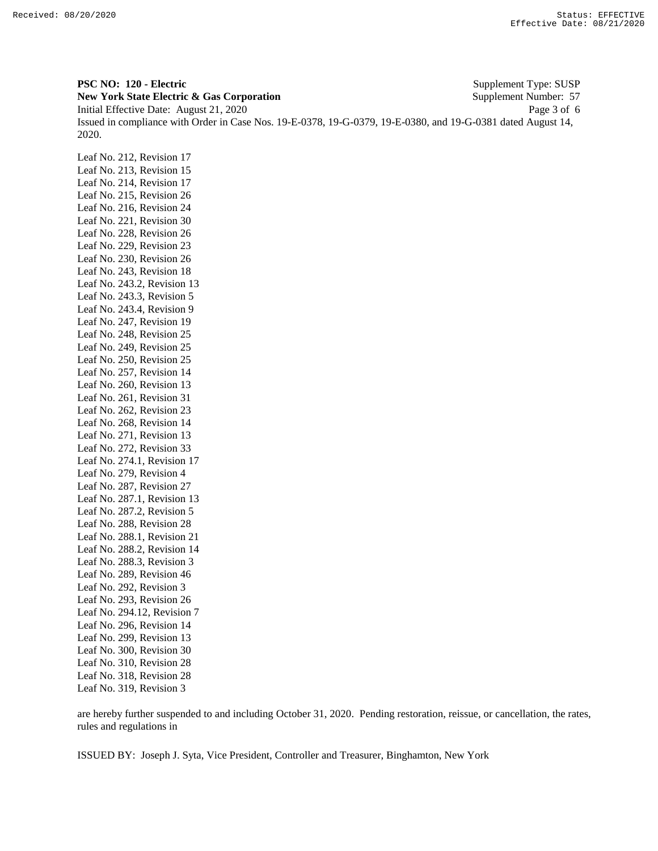**PSC NO: 120 - Electric** Supplement Type: SUSP **New York State Electric & Gas Corporation** Supplement Number: 57 Initial Effective Date: August 21, 2020 Page 3 of 6 Issued in compliance with Order in Case Nos. 19-E-0378, 19-G-0379, 19-E-0380, and 19-G-0381 dated August 14, 2020.

Leaf No. 212, Revision 17 Leaf No. 213, Revision 15 Leaf No. 214, Revision 17 Leaf No. 215, Revision 26 Leaf No. 216, Revision 24 Leaf No. 221, Revision 30 Leaf No. 228, Revision 26 Leaf No. 229, Revision 23 Leaf No. 230, Revision 26 Leaf No. 243, Revision 18 Leaf No. 243.2, Revision 13 Leaf No. 243.3, Revision 5 Leaf No. 243.4, Revision 9 Leaf No. 247, Revision 19 Leaf No. 248, Revision 25 Leaf No. 249, Revision 25 Leaf No. 250, Revision 25 Leaf No. 257, Revision 14 Leaf No. 260, Revision 13 Leaf No. 261, Revision 31 Leaf No. 262, Revision 23 Leaf No. 268, Revision 14 Leaf No. 271, Revision 13 Leaf No. 272, Revision 33 Leaf No. 274.1, Revision 17 Leaf No. 279, Revision 4 Leaf No. 287, Revision 27 Leaf No. 287.1, Revision 13 Leaf No. 287.2, Revision 5 Leaf No. 288, Revision 28 Leaf No. 288.1, Revision 21 Leaf No. 288.2, Revision 14 Leaf No. 288.3, Revision 3 Leaf No. 289, Revision 46 Leaf No. 292, Revision 3 Leaf No. 293, Revision 26 Leaf No. 294.12, Revision 7 Leaf No. 296, Revision 14 Leaf No. 299, Revision 13 Leaf No. 300, Revision 30 Leaf No. 310, Revision 28 Leaf No. 318, Revision 28 Leaf No. 319, Revision 3

are hereby further suspended to and including October 31, 2020. Pending restoration, reissue, or cancellation, the rates, rules and regulations in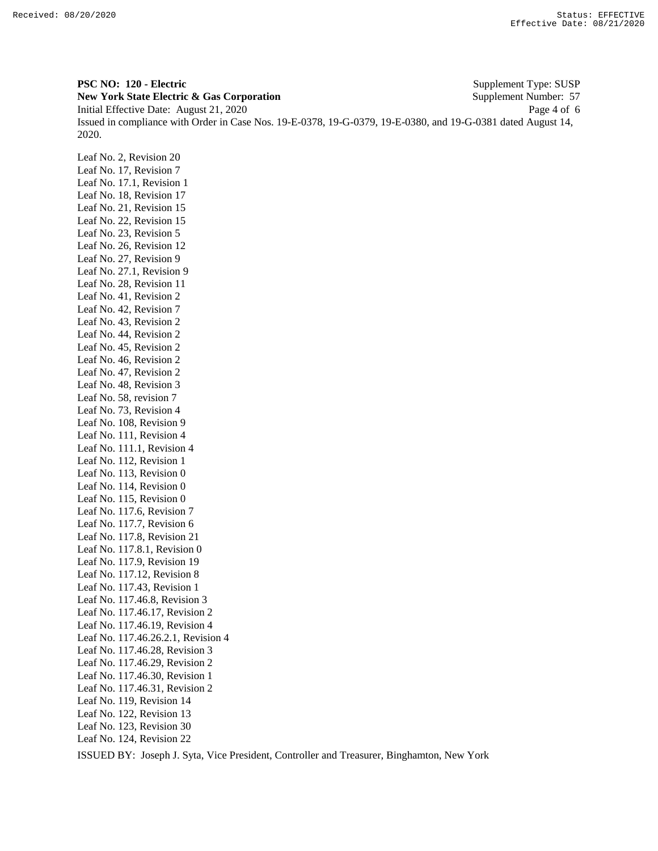**PSC NO: 120 - Electric** Supplement Type: SUSP **New York State Electric & Gas Corporation** Supplement Number: 57 Initial Effective Date: August 21, 2020 Page 4 of 6 Issued in compliance with Order in Case Nos. 19-E-0378, 19-G-0379, 19-E-0380, and 19-G-0381 dated August 14, 2020.

Leaf No. 2, Revision 20 Leaf No. 17, Revision 7 Leaf No. 17.1, Revision 1 Leaf No. 18, Revision 17 Leaf No. 21, Revision 15 Leaf No. 22, Revision 15 Leaf No. 23, Revision 5 Leaf No. 26, Revision 12 Leaf No. 27, Revision 9 Leaf No. 27.1, Revision 9 Leaf No. 28, Revision 11 Leaf No. 41, Revision 2 Leaf No. 42, Revision 7 Leaf No. 43, Revision 2 Leaf No. 44, Revision 2 Leaf No. 45, Revision 2 Leaf No. 46, Revision 2 Leaf No. 47, Revision 2 Leaf No. 48, Revision 3 Leaf No. 58, revision 7 Leaf No. 73, Revision 4 Leaf No. 108, Revision 9 Leaf No. 111, Revision 4 Leaf No. 111.1, Revision 4 Leaf No. 112, Revision 1 Leaf No. 113, Revision 0 Leaf No. 114, Revision 0 Leaf No. 115, Revision 0 Leaf No. 117.6, Revision 7 Leaf No. 117.7, Revision 6 Leaf No. 117.8, Revision 21 Leaf No. 117.8.1, Revision 0 Leaf No. 117.9, Revision 19 Leaf No. 117.12, Revision 8 Leaf No. 117.43, Revision 1 Leaf No. 117.46.8, Revision 3 Leaf No. 117.46.17, Revision 2 Leaf No. 117.46.19, Revision 4 Leaf No. 117.46.26.2.1, Revision 4 Leaf No. 117.46.28, Revision 3 Leaf No. 117.46.29, Revision 2 Leaf No. 117.46.30, Revision 1 Leaf No. 117.46.31, Revision 2 Leaf No. 119, Revision 14 Leaf No. 122, Revision 13 Leaf No. 123, Revision 30 Leaf No. 124, Revision 22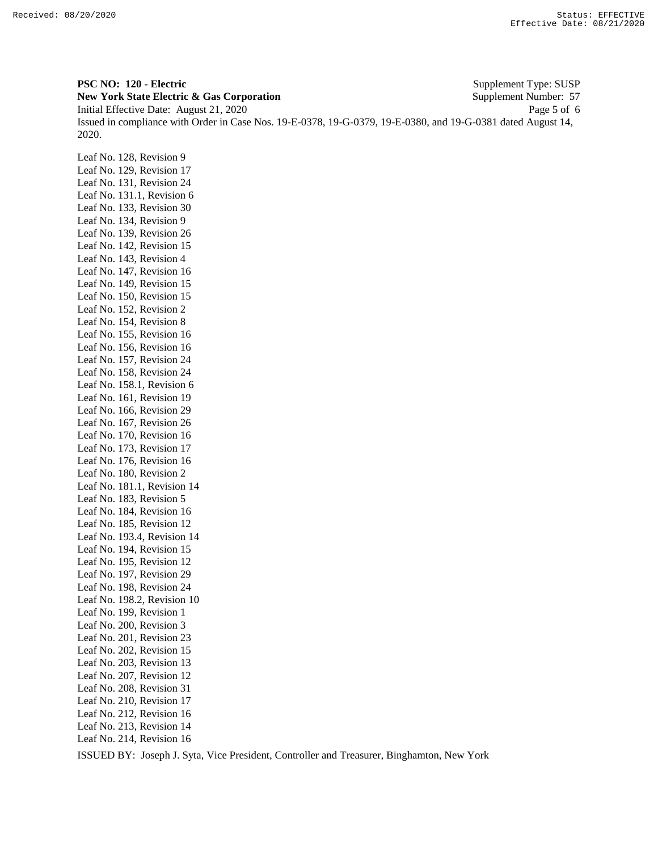**PSC NO: 120 - Electric** Supplement Type: SUSP **New York State Electric & Gas Corporation** Supplement Number: 57 Initial Effective Date: August 21, 2020 Page 5 of 6 Issued in compliance with Order in Case Nos. 19-E-0378, 19-G-0379, 19-E-0380, and 19-G-0381 dated August 14, 2020.

Leaf No. 128, Revision 9 Leaf No. 129, Revision 17 Leaf No. 131, Revision 24 Leaf No. 131.1, Revision 6 Leaf No. 133, Revision 30 Leaf No. 134, Revision 9 Leaf No. 139, Revision 26 Leaf No. 142, Revision 15 Leaf No. 143, Revision 4 Leaf No. 147, Revision 16 Leaf No. 149, Revision 15 Leaf No. 150, Revision 15 Leaf No. 152, Revision 2 Leaf No. 154, Revision 8 Leaf No. 155, Revision 16 Leaf No. 156, Revision 16 Leaf No. 157, Revision 24 Leaf No. 158, Revision 24 Leaf No. 158.1, Revision 6 Leaf No. 161, Revision 19 Leaf No. 166, Revision 29 Leaf No. 167, Revision 26 Leaf No. 170, Revision 16 Leaf No. 173, Revision 17 Leaf No. 176, Revision 16 Leaf No. 180, Revision 2 Leaf No. 181.1, Revision 14 Leaf No. 183, Revision 5 Leaf No. 184, Revision 16 Leaf No. 185, Revision 12 Leaf No. 193.4, Revision 14 Leaf No. 194, Revision 15 Leaf No. 195, Revision 12 Leaf No. 197, Revision 29 Leaf No. 198, Revision 24 Leaf No. 198.2, Revision 10 Leaf No. 199, Revision 1 Leaf No. 200, Revision 3 Leaf No. 201, Revision 23 Leaf No. 202, Revision 15 Leaf No. 203, Revision 13 Leaf No. 207, Revision 12 Leaf No. 208, Revision 31 Leaf No. 210, Revision 17 Leaf No. 212, Revision 16 Leaf No. 213, Revision 14 Leaf No. 214, Revision 16